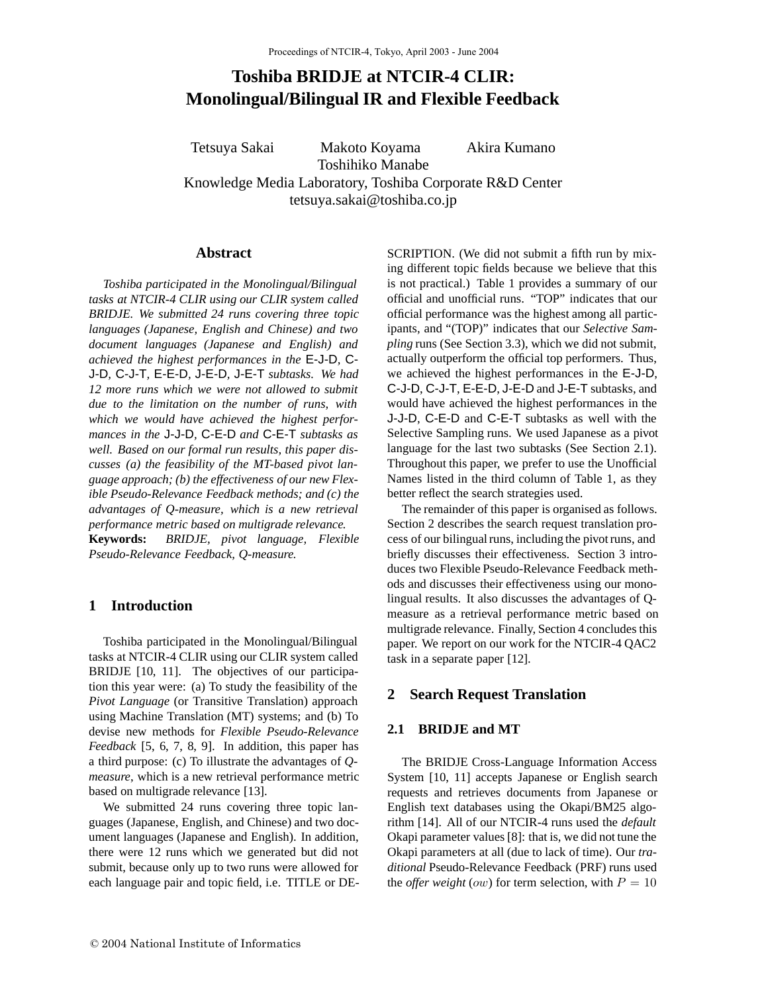# **Toshiba BRIDJE at NTCIR-4 CLIR: Monolingual/Bilingual IR and Flexible Feedback**

Tetsuya Sakai Makoto Koyama Akira Kumano Toshihiko Manabe Knowledge Media Laboratory, Toshiba Corporate R&D Center tetsuya.sakai@toshiba.co.jp

## **Abstract**

*Toshiba participated in the Monolingual/Bilingual tasks at NTCIR-4 CLIR using our CLIR system called BRIDJE. We submitted 24 runs covering three topic languages (Japanese, English and Chinese) and two document languages (Japanese and English) and achieved the highest performances in the* E-J-D*,* C-J-D*,* C-J-T*,* E-E-D*,* J-E-D*,* J-E-T *subtasks. We had 12 more runs which we were not allowed to submit due to the limitation on the number of runs, with which we would have achieved the highest performances in the* J-J-D*,* C-E-D *and* C-E-T *subtasks as well. Based on our formal run results, this paper discusses (a) the feasibility of the MT-based pivot language approach; (b) the effectiveness of our new Flexible Pseudo-Relevance Feedback methods; and (c) the advantages of Q-measure, which is a new retrieval performance metric based on multigrade relevance.* **Keywords:** *BRIDJE, pivot language, Flexible Pseudo-Relevance Feedback, Q-measure.*

# **1 Introduction**

Toshiba participated in the Monolingual/Bilingual tasks at NTCIR-4 CLIR using our CLIR system called BRIDJE [10, 11]. The objectives of our participation this year were: (a) To study the feasibility of the *Pivot Language* (or Transitive Translation) approach using Machine Translation (MT) systems; and (b) To devise new methods for *Flexible Pseudo-Relevance Feedback* [5, 6, 7, 8, 9]. In addition, this paper has a third purpose: (c) To illustrate the advantages of *Qmeasure*, which is a new retrieval performance metric based on multigrade relevance [13].

We submitted 24 runs covering three topic languages (Japanese, English, and Chinese) and two document languages (Japanese and English). In addition, there were 12 runs which we generated but did not submit, because only up to two runs were allowed for each language pair and topic field, i.e. TITLE or DE- SCRIPTION. (We did not submit a fifth run by mixing different topic fields because we believe that this is not practical.) Table 1 provides a summary of our official and unofficial runs. "TOP" indicates that our official performance was the highest among all participants, and "(TOP)" indicates that our *Selective Sampling* runs (See Section 3.3), which we did not submit, actually outperform the official top performers. Thus, we achieved the highest performances in the E-J-D, C-J-D, C-J-T, E-E-D, J-E-D and J-E-T subtasks, and would have achieved the highest performances in the J-J-D, C-E-D and C-E-T subtasks as well with the Selective Sampling runs. We used Japanese as a pivot language for the last two subtasks (See Section 2.1). Throughout this paper, we prefer to use the Unofficial Names listed in the third column of Table 1, as they better reflect the search strategies used.

The remainder of this paper is organised as follows. Section 2 describes the search request translation process of our bilingual runs, including the pivot runs, and briefly discusses their effectiveness. Section 3 introduces two Flexible Pseudo-Relevance Feedback methods and discusses their effectiveness using our monolingual results. It also discusses the advantages of Qmeasure as a retrieval performance metric based on multigrade relevance. Finally, Section 4 concludes this paper. We report on our work for the NTCIR-4 QAC2 task in a separate paper [12].

## **2 Search Request Translation**

## **2.1 BRIDJE and MT**

The BRIDJE Cross-Language Information Access System [10, 11] accepts Japanese or English search requests and retrieves documents from Japanese or English text databases using the Okapi/BM25 algorithm [14]. All of our NTCIR-4 runs used the *default* Okapi parameter values [8]: that is, we did not tune the Okapi parameters at all (due to lack of time). Our *traditional* Pseudo-Relevance Feedback (PRF) runs used the *offer weight* (*ow*) for term selection, with  $P = 10$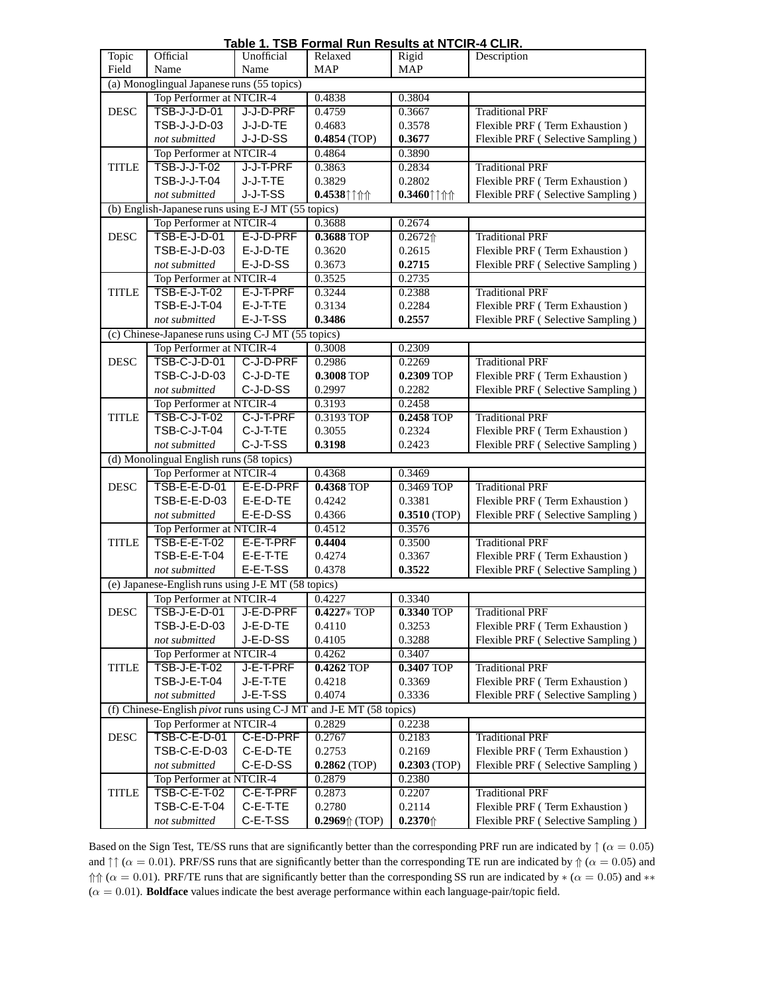| Table 1. TSB Formal Run Results at NTCIR-4 CLIR.                             |                                                    |            |                        |                     |                                   |  |  |  |
|------------------------------------------------------------------------------|----------------------------------------------------|------------|------------------------|---------------------|-----------------------------------|--|--|--|
| Topic                                                                        | Official                                           | Unofficial | Relaxed                | Rigid               | Description                       |  |  |  |
| Field                                                                        | Name                                               | Name       | <b>MAP</b>             | <b>MAP</b>          |                                   |  |  |  |
|                                                                              | (a) Monoglingual Japanese runs (55 topics)         |            |                        |                     |                                   |  |  |  |
|                                                                              | Top Performer at NTCIR-4                           |            | 0.4838                 | 0.3804              |                                   |  |  |  |
| <b>DESC</b>                                                                  | <b>TSB-J-J-D-01</b>                                | J-J-D-PRF  | 0.4759                 | 0.3667              | <b>Traditional PRF</b>            |  |  |  |
|                                                                              | TSB-J-J-D-03                                       | J-J-D-TE   | 0.4683                 | 0.3578              | Flexible PRF (Term Exhaustion)    |  |  |  |
|                                                                              | not submitted                                      | J-J-D-SS   | $0.4854$ (TOP)         | 0.3677              | Flexible PRF (Selective Sampling) |  |  |  |
|                                                                              | Top Performer at NTCIR-4                           |            | 0.4864                 | 0.3890              |                                   |  |  |  |
| <b>TITLE</b>                                                                 | <b>TSB-J-J-T-02</b>                                | J-J-T-PRF  | 0.3863                 | 0.2834              | <b>Traditional PRF</b>            |  |  |  |
|                                                                              | <b>TSB-J-J-T-04</b>                                | J-J-T-TE   | 0.3829                 | 0.2802              | Flexible PRF (Term Exhaustion)    |  |  |  |
|                                                                              | not submitted                                      | J-J-T-SS   | $0.4538$ ††††          | $0.3460$ ††↑↑       | Flexible PRF (Selective Sampling) |  |  |  |
|                                                                              | (b) English-Japanese runs using E-J MT (55 topics) |            |                        |                     |                                   |  |  |  |
|                                                                              | Top Performer at NTCIR-4                           |            | 0.3688                 | 0.2674              |                                   |  |  |  |
| <b>DESC</b>                                                                  | TSB-E-J-D-01                                       | E-J-D-PRF  | <b>0.3688 TOP</b>      | $0.2672$ $\Uparrow$ | <b>Traditional PRF</b>            |  |  |  |
|                                                                              | TSB-E-J-D-03                                       | E-J-D-TE   | 0.3620                 | 0.2615              | Flexible PRF (Term Exhaustion)    |  |  |  |
|                                                                              |                                                    | E-J-D-SS   |                        | 0.2715              | Flexible PRF (Selective Sampling) |  |  |  |
|                                                                              | not submitted                                      |            | 0.3673                 |                     |                                   |  |  |  |
|                                                                              | Top Performer at NTCIR-4                           |            | 0.3525                 | 0.2735              |                                   |  |  |  |
| <b>TITLE</b>                                                                 | <b>TSB-E-J-T-02</b>                                | E-J-T-PRF  | 0.3244                 | 0.2388              | <b>Traditional PRF</b>            |  |  |  |
|                                                                              | TSB-E-J-T-04                                       | E-J-T-TE   | 0.3134                 | 0.2284              | Flexible PRF (Term Exhaustion)    |  |  |  |
|                                                                              | not submitted                                      | E-J-T-SS   | 0.3486                 | 0.2557              | Flexible PRF (Selective Sampling) |  |  |  |
|                                                                              | (c) Chinese-Japanese runs using C-J MT (55 topics) |            |                        |                     |                                   |  |  |  |
|                                                                              | Top Performer at NTCIR-4                           |            | 0.3008                 | 0.2309              |                                   |  |  |  |
| <b>DESC</b>                                                                  | <b>TSB-C-J-D-01</b>                                | C-J-D-PRF  | 0.2986                 | 0.2269              | <b>Traditional PRF</b>            |  |  |  |
|                                                                              | TSB-C-J-D-03                                       | C-J-D-TE   | 0.3008 TOP             | 0.2309 TOP          | Flexible PRF (Term Exhaustion)    |  |  |  |
|                                                                              | not submitted                                      | C-J-D-SS   | 0.2997                 | 0.2282              | Flexible PRF (Selective Sampling) |  |  |  |
|                                                                              | Top Performer at NTCIR-4                           |            | 0.3193                 | 0.2458              |                                   |  |  |  |
| <b>TITLE</b>                                                                 | <b>TSB-C-J-T-02</b>                                | C-J-T-PRF  | 0.3193 TOP             | <b>0.2458 TOP</b>   | <b>Traditional PRF</b>            |  |  |  |
|                                                                              | <b>TSB-C-J-T-04</b>                                | C-J-T-TE   | 0.3055                 | 0.2324              | Flexible PRF (Term Exhaustion)    |  |  |  |
|                                                                              | not submitted                                      | C-J-T-SS   | 0.3198                 | 0.2423              | Flexible PRF (Selective Sampling) |  |  |  |
| (d) Monolingual English runs (58 topics)                                     |                                                    |            |                        |                     |                                   |  |  |  |
|                                                                              | Top Performer at NTCIR-4                           |            | $0.\overline{4368}$    | 0.3469              |                                   |  |  |  |
| <b>DESC</b>                                                                  | TSB-E-E-D-01                                       | E-E-D-PRF  | <b>0.4368 TOP</b>      | 0.3469 TOP          | <b>Traditional PRF</b>            |  |  |  |
|                                                                              | TSB-E-E-D-03                                       | E-E-D-TE   | 0.4242                 | 0.3381              | Flexible PRF (Term Exhaustion)    |  |  |  |
|                                                                              | not submitted                                      | E-E-D-SS   | 0.4366                 | $0.3510$ (TOP)      | Flexible PRF (Selective Sampling) |  |  |  |
|                                                                              | Top Performer at NTCIR-4                           |            | 0.4512                 | 0.3576              |                                   |  |  |  |
| <b>TITLE</b>                                                                 | <b>TSB-E-E-T-02</b>                                | E-E-T-PRF  | 0.4404                 | 0.3500              | <b>Traditional PRF</b>            |  |  |  |
|                                                                              | <b>TSB-E-E-T-04</b>                                | E-E-T-TE   | 0.4274                 | 0.3367              | Flexible PRF (Term Exhaustion)    |  |  |  |
|                                                                              | not submitted                                      | E-E-T-SS   | 0.4378                 | 0.3522              | Flexible PRF (Selective Sampling) |  |  |  |
|                                                                              | (e) Japanese-English runs using J-E MT (58 topics) |            |                        |                     |                                   |  |  |  |
|                                                                              | Top Performer at NTCIR-4                           |            | 0.4227                 | 0.3340              |                                   |  |  |  |
| <b>DESC</b>                                                                  | TSB-J-E-D-01                                       | J-E-D-PRF  | $0.4227 * TOP$         | 0.3340 TOP          | <b>Traditional PRF</b>            |  |  |  |
|                                                                              | TSB-J-E-D-03                                       | J-E-D-TE   | 0.4110                 | 0.3253              | Flexible PRF (Term Exhaustion)    |  |  |  |
|                                                                              | not submitted                                      | J-E-D-SS   | 0.4105                 | 0.3288              | Flexible PRF (Selective Sampling) |  |  |  |
|                                                                              |                                                    |            |                        |                     |                                   |  |  |  |
|                                                                              | Top Performer at NTCIR-4                           |            | 0.4262                 | 0.3407              |                                   |  |  |  |
| <b>TITLE</b>                                                                 | <b>TSB-J-E-T-02</b>                                | J-E-T-PRF  | 0.4262 TOP             | 0.3407 TOP          | <b>Traditional PRF</b>            |  |  |  |
|                                                                              | TSB-J-E-T-04                                       | J-E-T-TE   | 0.4218                 | 0.3369              | Flexible PRF (Term Exhaustion)    |  |  |  |
|                                                                              | not submitted                                      | J-E-T-SS   | 0.4074                 | 0.3336              | Flexible PRF (Selective Sampling) |  |  |  |
| (f) Chinese-English <i>pivot</i> runs using C-J MT<br>and J-E MT (58 topics) |                                                    |            |                        |                     |                                   |  |  |  |
|                                                                              | Top Performer at NTCIR-4                           |            | 0.2829                 | 0.2238              |                                   |  |  |  |
| <b>DESC</b>                                                                  | TSB-C-E-D-01                                       | C-E-D-PRF  | 0.2767                 | 0.2183              | <b>Traditional PRF</b>            |  |  |  |
|                                                                              | TSB-C-E-D-03                                       | C-E-D-TE   | 0.2753                 | 0.2169              | Flexible PRF (Term Exhaustion)    |  |  |  |
|                                                                              | not submitted                                      | C-E-D-SS   | $0.2862$ (TOP)         | $0.2303$ (TOP)      | Flexible PRF (Selective Sampling) |  |  |  |
|                                                                              | Top Performer at NTCIR-4                           |            | 0.2879                 | 0.2380              |                                   |  |  |  |
| <b>TITLE</b>                                                                 | <b>TSB-C-E-T-02</b>                                | C-E-T-PRF  | 0.2873                 | 0.2207              | <b>Traditional PRF</b>            |  |  |  |
|                                                                              | <b>TSB-C-E-T-04</b>                                | C-E-T-TE   | 0.2780                 | 0.2114              | Flexible PRF (Term Exhaustion)    |  |  |  |
|                                                                              | not submitted                                      | C-E-T-SS   | $0.2969\Uparrow$ (TOP) | $0.2370$ $\Uparrow$ | Flexible PRF (Selective Sampling) |  |  |  |

Based on the Sign Test, TE/SS runs that are significantly better than the corresponding PRF run are indicated by  $\uparrow (\alpha = 0.05)$ and  $\uparrow \uparrow (\alpha = 0.01)$ . PRF/SS runs that are significantly better than the corresponding TE run are indicated by  $\Uparrow (\alpha = 0.05)$  and  $↑↑$  ( $α = 0.01$ ). PRF/TE runs that are significantly better than the corresponding SS run are indicated by  $*(α = 0.05)$  and  $**$  $(\alpha = 0.01)$ . **Boldface** values indicate the best average performance within each language-pair/topic field.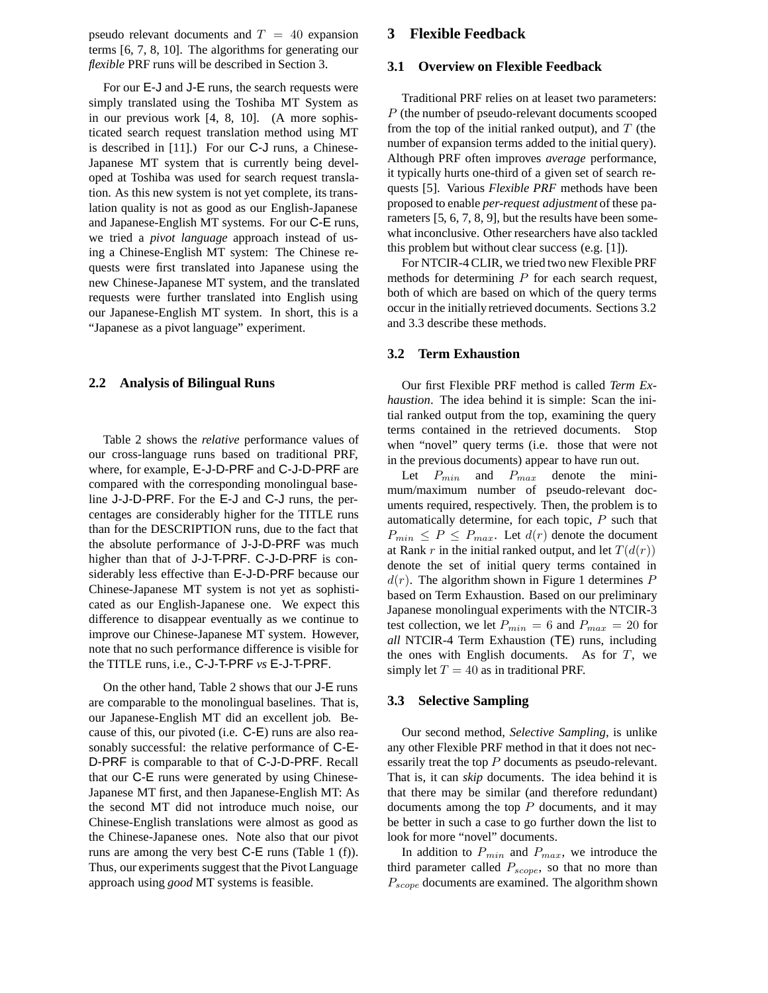pseudo relevant documents and  $T = 40$  expansion terms [6, 7, 8, 10]. The algorithms for generating our *flexible* PRF runs will be described in Section 3.

For our E-J and J-E runs, the search requests were simply translated using the Toshiba MT System as in our previous work [4, 8, 10]. (A more sophisticated search request translation method using MT is described in [11].) For our C-J runs, a Chinese-Japanese MT system that is currently being developed at Toshiba was used for search request translation. As this new system is not yet complete, its translation quality is not as good as our English-Japanese and Japanese-English MT systems. For our C-E runs, we tried a *pivot language* approach instead of using a Chinese-English MT system: The Chinese requests were first translated into Japanese using the new Chinese-Japanese MT system, and the translated requests were further translated into English using our Japanese-English MT system. In short, this is a "Japanese as a pivot language" experiment.

### **2.2 Analysis of Bilingual Runs**

Table 2 shows the *relative* performance values of our cross-language runs based on traditional PRF, where, for example, E-J-D-PRF and C-J-D-PRF are compared with the corresponding monolingual baseline J-J-D-PRF. For the E-J and C-J runs, the percentages are considerably higher for the TITLE runs than for the DESCRIPTION runs, due to the fact that the absolute performance of J-J-D-PRF was much higher than that of J-J-T-PRF. C-J-D-PRF is considerably less effective than E-J-D-PRF because our Chinese-Japanese MT system is not yet as sophisticated as our English-Japanese one. We expect this difference to disappear eventually as we continue to improve our Chinese-Japanese MT system. However, note that no such performance difference is visible for the TITLE runs, i.e., C-J-T-PRF *vs* E-J-T-PRF.

On the other hand, Table 2 shows that our J-E runs are comparable to the monolingual baselines. That is, our Japanese-English MT did an excellent job. Because of this, our pivoted (i.e. C-E) runs are also reasonably successful: the relative performance of C-E-D-PRF is comparable to that of C-J-D-PRF. Recall that our C-E runs were generated by using Chinese-Japanese MT first, and then Japanese-English MT: As the second MT did not introduce much noise, our Chinese-English translations were almost as good as the Chinese-Japanese ones. Note also that our pivot runs are among the very best C-E runs (Table 1 (f)). Thus, our experiments suggest that the Pivot Language approach using *good* MT systems is feasible.

# **3 Flexible Feedback**

#### **3.1 Overview on Flexible Feedback**

Traditional PRF relies on at leaset two parameters: P (the number of pseudo-relevant documents scooped from the top of the initial ranked output), and  $T$  (the number of expansion terms added to the initial query). Although PRF often improves *average* performance, it typically hurts one-third of a given set of search requests [5]. Various *Flexible PRF* methods have been proposed to enable *per-request adjustment* of these parameters [5, 6, 7, 8, 9], but the results have been somewhat inconclusive. Other researchers have also tackled this problem but without clear success (e.g. [1]).

For NTCIR-4 CLIR, we tried two new Flexible PRF methods for determining  $P$  for each search request, both of which are based on which of the query terms occur in the initially retrieved documents. Sections 3.2 and 3.3 describe these methods.

#### **3.2 Term Exhaustion**

Our first Flexible PRF method is called *Term Exhaustion*. The idea behind it is simple: Scan the initial ranked output from the top, examining the query terms contained in the retrieved documents. Stop when "novel" query terms (i.e. those that were not in the previous documents) appear to have run out.

Let <sup>P</sup>*min* and <sup>P</sup>*max* denote the minimum/maximum number of pseudo-relevant documents required, respectively. Then, the problem is to automatically determine, for each topic,  $P$  such that  $P_{min} \leq P \leq P_{max}$ . Let  $d(r)$  denote the document at Rank r in the initial ranked output, and let  $T(d(r))$ denote the set of initial query terms contained in  $d(r)$ . The algorithm shown in Figure 1 determines P based on Term Exhaustion. Based on our preliminary Japanese monolingual experiments with the NTCIR-3 test collection, we let  $P_{min} = 6$  and  $P_{max} = 20$  for *all* NTCIR-4 Term Exhaustion (TE) runs, including the ones with English documents. As for  $T$ , we simply let  $T = 40$  as in traditional PRF.

## **3.3 Selective Sampling**

Our second method, *Selective Sampling*, is unlike any other Flexible PRF method in that it does not necessarily treat the top P documents as pseudo-relevant. That is, it can *skip* documents. The idea behind it is that there may be similar (and therefore redundant) documents among the top  $P$  documents, and it may be better in such a case to go further down the list to look for more "novel" documents.

In addition to <sup>P</sup>*min* and <sup>P</sup>*max*, we introduce the third parameter called <sup>P</sup>*scope*, so that no more than <sup>P</sup>*scope* documents are examined. The algorithm shown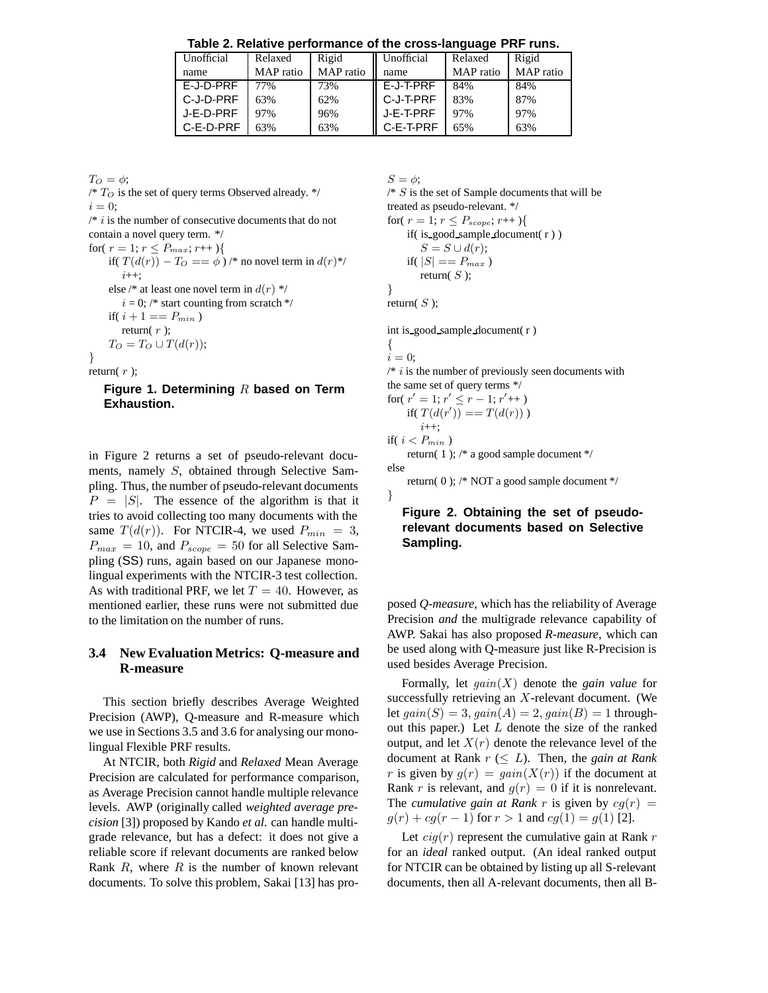**Table 2. Relative performance of the cross-language PRF runs.**

| Unofficial | Relaxed   | Rigid     | Unofficial   | Relaxed   | Rigid     |
|------------|-----------|-----------|--------------|-----------|-----------|
| name       | MAP ratio | MAP ratio | name         | MAP ratio | MAP ratio |
| E-J-D-PRF  | 77%       | 73%       | E-J-T-PRF    | 84%       | 84%       |
| C-J-D-PRF  | 63%       | 62%       | ll C-J-T-PRF | 83%       | 87%       |
| J-E-D-PRF  | 97%       | 96%       | J-E-T-PRF    | 97%       | 97%       |
| C-E-D-PRF  | 63%       | 63%       | C-E-T-PRF    | 65%       | 63%       |

 $T_O = \phi$ ;  $/\ast$   $T_{O}$  is the set of query terms Observed already.  $\ast/$  $i = 0;$  $/* i$  is the number of consecutive documents that do not contain a novel query term. \*/ for(  $r = 1; r \leq P_{max}; r \mapsto \}$ if(  $T(d(r)) - T_O = = \phi$ ) /\* no novel term in  $d(r)$ \*/  $i_{++}$ ; else /\* at least one novel term in  $d(r)$  \*/  $i = 0$ ; /\* start counting from scratch \*/ if(  $i + 1 == P_{min}$  ) return( $r$ );  $T_O = T_O \cup T(d(r));$ } return $(r)$ ;

**Figure 1. Determining** R **based on Term Exhaustion.**

in Figure 2 returns a set of pseudo-relevant documents, namely S, obtained through Selective Sampling. Thus, the number of pseudo-relevant documents  $P = |S|$ . The essence of the algorithm is that it tries to avoid collecting too many documents with the same  $T(d(r))$ . For NTCIR-4, we used  $P_{min} = 3$ ,  $P_{max} = 10$ , and  $P_{scope} = 50$  for all Selective Sampling (SS) runs, again based on our Japanese monolingual experiments with the NTCIR-3 test collection. As with traditional PRF, we let  $T = 40$ . However, as mentioned earlier, these runs were not submitted due to the limitation on the number of runs.

## **3.4 New Evaluation Metrics: Q-measure and R-measure**

This section briefly describes Average Weighted Precision (AWP), Q-measure and R-measure which we use in Sections 3.5 and 3.6 for analysing our monolingual Flexible PRF results.

At NTCIR, both *Rigid* and *Relaxed* Mean Average Precision are calculated for performance comparison, as Average Precision cannot handle multiple relevance levels. AWP (originally called *weighted average precision* [3]) proposed by Kando *et al.* can handle multigrade relevance, but has a defect: it does not give a reliable score if relevant documents are ranked below Rank  $R$ , where  $R$  is the number of known relevant documents. To solve this problem, Sakai [13] has pro $S = \phi$ ;  $/* S$  is the set of Sample documents that will be treated as pseudo-relevant. \*/ for(  $r = 1; r \leq P_{scope}; r++)$ { if( is good sample document( r ) )  $S = S \cup d(r);$ if(  $|S| == P_{max}$  ) return( $S$ ); }

return( $S$ );

int is good sample document( r )

```
{
i = 0;
```
 $/* i$  is the number of previously seen documents with the same set of query terms \*/

for 
$$
(r' = 1; r' \le r - 1; r'++)
$$
  
if  $(T(d(r')) == T(d(r)))$   
 $i++;$ 

if(  $i < P_{min}$  )

return( 1 ); /\* a good sample document \*/ else

return( 0 ); /\* NOT a good sample document \*/

}

# **Figure 2. Obtaining the set of pseudorelevant documents based on Selective Sampling.**

posed *Q-measure*, which has the reliability of Average Precision *and* the multigrade relevance capability of AWP. Sakai has also proposed *R-measure*, which can be used along with Q-measure just like R-Precision is used besides Average Precision.

Formally, let *gain*(X) denote the *gain value* for successfully retrieving an X-relevant document. (We let  $gain(S)=3$ ,  $gain(A)=2$ ,  $gain(B)=1$  throughout this paper.) Let  $L$  denote the size of the ranked output, and let  $X(r)$  denote the relevance level of the document at Rank  $r \leq L$ ). Then, the *gain at Rank* r is given by  $g(r) = gain(X(r))$  if the document at Rank r is relevant, and  $g(r)=0$  if it is nonrelevant. The *cumulative gain at Rank* r is given by  $cq(r) =$  $g(r) + cg(r - 1)$  for  $r > 1$  and  $cg(1) = g(1)$  [2].

Let  $\text{c}iq(r)$  represent the cumulative gain at Rank r for an *ideal* ranked output. (An ideal ranked output for NTCIR can be obtained by listing up all S-relevant documents, then all A-relevant documents, then all B-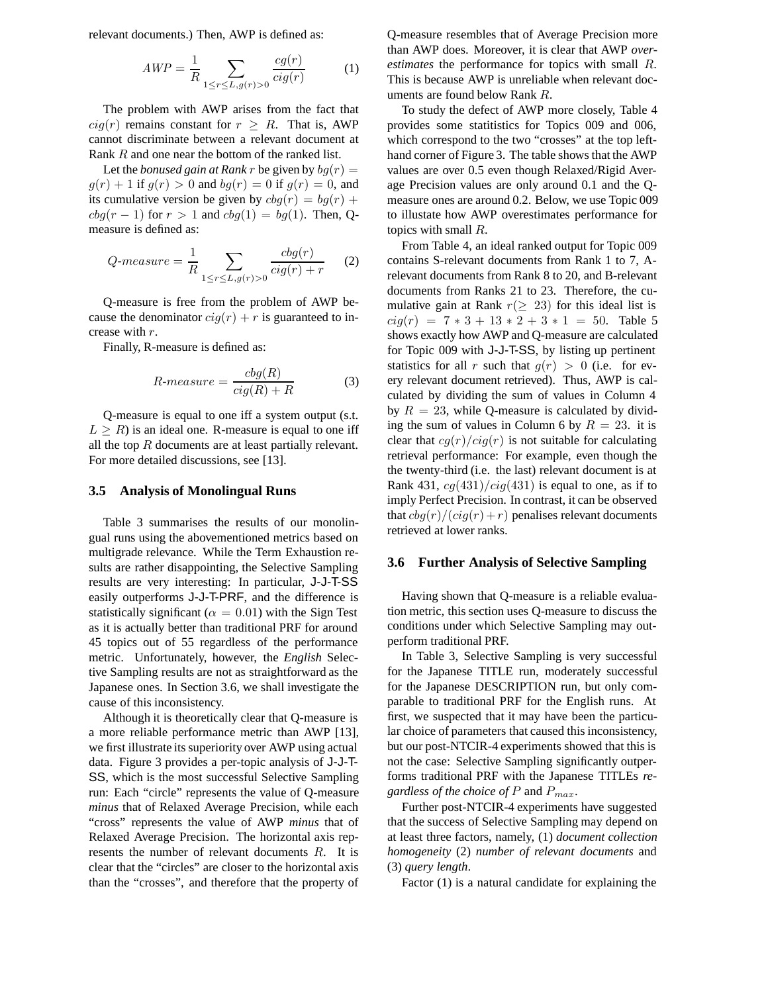relevant documents.) Then, AWP is defined as:

$$
AWP = \frac{1}{R} \sum_{1 \le r \le L, g(r) > 0} \frac{cg(r)}{cig(r)} \tag{1}
$$

The problem with AWP arises from the fact that  $cig(r)$  remains constant for  $r \geq R$ . That is, AWP cannot discriminate between a relevant document at Rank R and one near the bottom of the ranked list.

Let the *bonused gain at Rank* r be given by  $bg(r) =$  $g(r)+1$  if  $g(r)>0$  and  $bg(r)=0$  if  $g(r)=0$ , and its cumulative version be given by  $cbg(r) = bg(r) +$  $cbg(r-1)$  for  $r > 1$  and  $cbg(1) = bg(1)$ . Then, Qmeasure is defined as:

$$
Q\text{-}measure = \frac{1}{R} \sum_{1 \le r \le L, g(r) > 0} \frac{cbg(r)}{cig(r) + r} \qquad (2)
$$

Q-measure is free from the problem of AWP because the denominator  $cig(r) + r$  is guaranteed to increase with r.

Finally, R-measure is defined as:

$$
R\text{-}measure = \frac{cbg(R)}{cig(R) + R} \tag{3}
$$

Q-measure is equal to one iff a system output (s.t.  $L > R$ ) is an ideal one. R-measure is equal to one iff all the top  $R$  documents are at least partially relevant. For more detailed discussions, see [13].

#### **3.5 Analysis of Monolingual Runs**

Table 3 summarises the results of our monolingual runs using the abovementioned metrics based on multigrade relevance. While the Term Exhaustion results are rather disappointing, the Selective Sampling results are very interesting: In particular, J-J-T-SS easily outperforms J-J-T-PRF, and the difference is statistically significant ( $\alpha = 0.01$ ) with the Sign Test as it is actually better than traditional PRF for around 45 topics out of 55 regardless of the performance metric. Unfortunately, however, the *English* Selective Sampling results are not as straightforward as the Japanese ones. In Section 3.6, we shall investigate the cause of this inconsistency.

Although it is theoretically clear that Q-measure is a more reliable performance metric than AWP [13], we first illustrate its superiority over AWP using actual data. Figure 3 provides a per-topic analysis of J-J-T-SS, which is the most successful Selective Sampling run: Each "circle" represents the value of Q-measure *minus* that of Relaxed Average Precision, while each "cross" represents the value of AWP *minus* that of Relaxed Average Precision. The horizontal axis represents the number of relevant documents R. It is clear that the "circles" are closer to the horizontal axis than the "crosses", and therefore that the property of

Q-measure resembles that of Average Precision more than AWP does. Moreover, it is clear that AWP *overestimates* the performance for topics with small R. This is because AWP is unreliable when relevant documents are found below Rank R.

To study the defect of AWP more closely, Table 4 provides some statitistics for Topics 009 and 006, which correspond to the two "crosses" at the top lefthand corner of Figure 3. The table shows that the AWP values are over 0.5 even though Relaxed/Rigid Average Precision values are only around 0.1 and the Qmeasure ones are around 0.2. Below, we use Topic 009 to illustate how AWP overestimates performance for topics with small R.

From Table 4, an ideal ranked output for Topic 009 contains S-relevant documents from Rank 1 to 7, Arelevant documents from Rank 8 to 20, and B-relevant documents from Ranks 21 to 23. Therefore, the cumulative gain at Rank  $r(≥ 23)$  for this ideal list is  $cig(r) = 7 * 3 + 13 * 2 + 3 * 1 = 50$ . Table 5 shows exactly how AWP and Q-measure are calculated for Topic 009 with J-J-T-SS, by listing up pertinent statistics for all r such that  $g(r) > 0$  (i.e. for every relevant document retrieved). Thus, AWP is calculated by dividing the sum of values in Column 4 by  $R = 23$ , while Q-measure is calculated by dividing the sum of values in Column 6 by  $R = 23$ . it is clear that  $cg(r)/cig(r)$  is not suitable for calculating retrieval performance: For example, even though the the twenty-third (i.e. the last) relevant document is at Rank 431,  $cg(431)/cig(431)$  is equal to one, as if to imply Perfect Precision. In contrast, it can be observed that  $cbg(r)/(cig(r) + r)$  penalises relevant documents retrieved at lower ranks.

#### **3.6 Further Analysis of Selective Sampling**

Having shown that Q-measure is a reliable evaluation metric, this section uses Q-measure to discuss the conditions under which Selective Sampling may outperform traditional PRF.

In Table 3, Selective Sampling is very successful for the Japanese TITLE run, moderately successful for the Japanese DESCRIPTION run, but only comparable to traditional PRF for the English runs. At first, we suspected that it may have been the particular choice of parameters that caused this inconsistency, but our post-NTCIR-4 experiments showed that this is not the case: Selective Sampling significantly outperforms traditional PRF with the Japanese TITLEs *regardless of the choice of* <sup>P</sup> and <sup>P</sup>*max*.

Further post-NTCIR-4 experiments have suggested that the success of Selective Sampling may depend on at least three factors, namely, (1) *document collection homogeneity* (2) *number of relevant documents* and (3) *query length*.

Factor (1) is a natural candidate for explaining the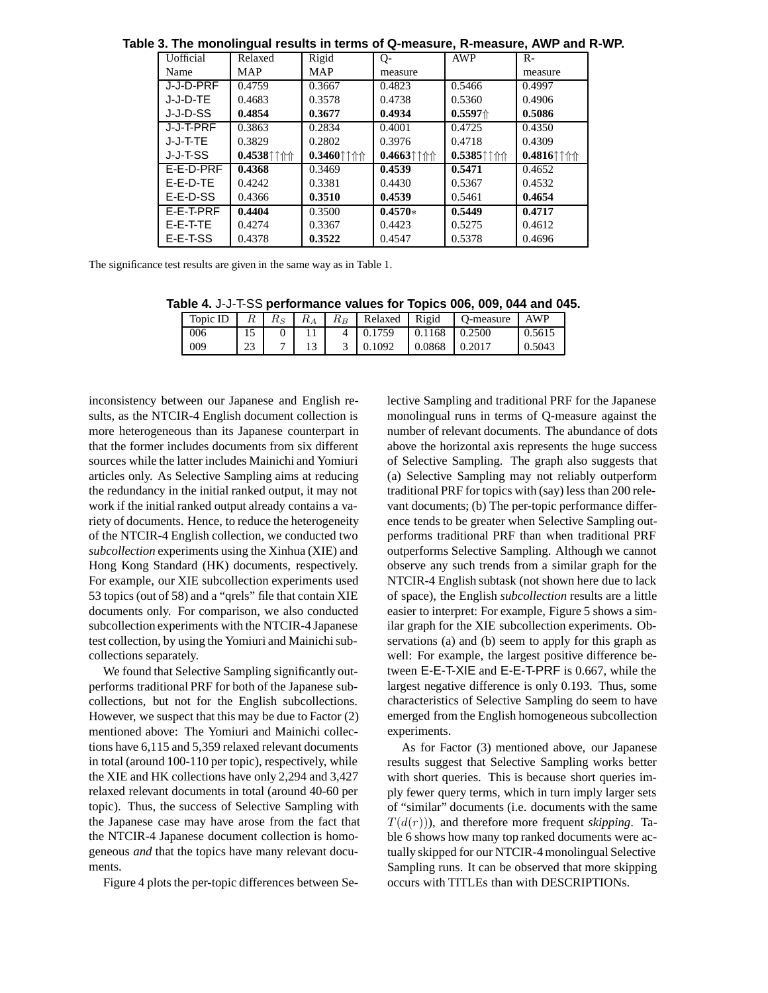| יט. דווט וווטווטווווקטמו וטאטוווא ווו נטווווס טו ש־ווועמסטוט, ול־ווועמסטוט, רזיו ו מווט |               |                                                                                                  |                                            |                                                                                      |                                                                                       |  |  |
|-----------------------------------------------------------------------------------------|---------------|--------------------------------------------------------------------------------------------------|--------------------------------------------|--------------------------------------------------------------------------------------|---------------------------------------------------------------------------------------|--|--|
| <b>U</b> official                                                                       | Relaxed       | Rigid                                                                                            | $Q-$                                       | <b>AWP</b>                                                                           | $R-$                                                                                  |  |  |
| Name                                                                                    | <b>MAP</b>    | MAP                                                                                              | measure                                    |                                                                                      | measure                                                                               |  |  |
| J-J-D-PRF                                                                               | 0.4759        | 0.3667                                                                                           | 0.4823                                     | 0.5466                                                                               | 0.4997                                                                                |  |  |
| J-J-D-TE                                                                                | 0.4683        | 0.3578                                                                                           | 0.4738                                     | 0.5360                                                                               | 0.4906                                                                                |  |  |
| J-J-D-SS                                                                                | 0.4854        | 0.3677                                                                                           | 0.4934                                     | 0.5597@                                                                              | 0.5086                                                                                |  |  |
| J-J-T-PRF                                                                               | 0.3863        | 0.2834                                                                                           | 0.4001                                     | 0.4725                                                                               | 0.4350                                                                                |  |  |
| J-J-T-TE                                                                                | 0.3829        | 0.2802                                                                                           | 0.3976                                     | 0.4718                                                                               | 0.4309                                                                                |  |  |
|                                                                                         |               |                                                                                                  |                                            |                                                                                      |                                                                                       |  |  |
| J-J-T-SS                                                                                | $0.4538$ ††↑↑ | $0.3460$ <sup><math>\uparrow</math></sup> $\uparrow$ <sup><math>\uparrow</math></sup> $\uparrow$ | $0.4663$ <sup><math>\dagger</math></sup> ↑ | $0.5385$ <sup><math>\dagger</math></sup> $\uparrow$ <sup><math>\uparrow</math></sup> | $0.4816$ <sup><math>\uparrow</math></sup> $\uparrow$ <sup><math>\uparrow</math></sup> |  |  |
| F-F-D-PRF                                                                               | 0.4368        | 0.3469                                                                                           | 0.4539                                     | 0.5471                                                                               | 0.4652                                                                                |  |  |
| $E-E-D-TE$                                                                              | 0.4242        | 0.3381                                                                                           | 0.4430                                     | 0.5367                                                                               | 0.4532                                                                                |  |  |
| E-E-D-SS                                                                                | 0.4366        | 0.3510                                                                                           | 0.4539                                     | 0.5461                                                                               | 0.4654                                                                                |  |  |
| F-F-T-PRF                                                                               | 0.4404        | 0.3500                                                                                           | $0.4570*$                                  | 0.5449                                                                               | 0.4717                                                                                |  |  |
| E-E-T-TE                                                                                | 0.4274        | 0.3367                                                                                           | 0.4423                                     | 0.5275                                                                               | 0.4612                                                                                |  |  |

**Table 3. The monolingual results in terms of Q-measure, R-measure, AWP and R-WP.**

The significance test results are given in the same way as in Table 1.

**Table 4.** J-J-T-SS **performance values for Topics 006, 009, 044 and 045.**

|     |    |  |                                         |                 | Topic ID   $R$   $R_S$   $R_A$   $R_B$   Relaxed   Rigid   Q-measure | AWP    |
|-----|----|--|-----------------------------------------|-----------------|----------------------------------------------------------------------|--------|
| 006 |    |  | $4 \mid 0.1759 \mid 0.1168 \mid 0.2500$ |                 |                                                                      | 0.5615 |
| 009 | 23 |  | $3 \quad 0.1092$                        | $0.0868$ 0.2017 |                                                                      | 0.5043 |
|     |    |  |                                         |                 |                                                                      |        |

inconsistency between our Japanese and English results, as the NTCIR-4 English document collection is more heterogeneous than its Japanese counterpart in that the former includes documents from six different sources while the latter includes Mainichi and Yomiuri articles only. As Selective Sampling aims at reducing the redundancy in the initial ranked output, it may not work if the initial ranked output already contains a variety of documents. Hence, to reduce the heterogeneity of the NTCIR-4 English collection, we conducted two *subcollection* experiments using the Xinhua (XIE) and Hong Kong Standard (HK) documents, respectively. For example, our XIE subcollection experiments used 53 topics (out of 58) and a "qrels" file that contain XIE documents only. For comparison, we also conducted subcollection experiments with the NTCIR-4 Japanese test collection, by using the Yomiuri and Mainichi subcollections separately.

We found that Selective Sampling significantly outperforms traditional PRF for both of the Japanese subcollections, but not for the English subcollections. However, we suspect that this may be due to Factor (2) mentioned above: The Yomiuri and Mainichi collections have 6,115 and 5,359 relaxed relevant documents in total (around 100-110 per topic), respectively, while the XIE and HK collections have only 2,294 and 3,427 relaxed relevant documents in total (around 40-60 per topic). Thus, the success of Selective Sampling with the Japanese case may have arose from the fact that the NTCIR-4 Japanese document collection is homogeneous *and* that the topics have many relevant documents.

Figure 4 plots the per-topic differences between Se-

lective Sampling and traditional PRF for the Japanese monolingual runs in terms of Q-measure against the number of relevant documents. The abundance of dots above the horizontal axis represents the huge success of Selective Sampling. The graph also suggests that (a) Selective Sampling may not reliably outperform traditional PRF for topics with (say) less than 200 relevant documents; (b) The per-topic performance difference tends to be greater when Selective Sampling outperforms traditional PRF than when traditional PRF outperforms Selective Sampling. Although we cannot observe any such trends from a similar graph for the NTCIR-4 English subtask (not shown here due to lack of space), the English *subcollection* results are a little easier to interpret: For example, Figure 5 shows a similar graph for the XIE subcollection experiments. Observations (a) and (b) seem to apply for this graph as well: For example, the largest positive difference between E-E-T-XIE and E-E-T-PRF is 0.667, while the largest negative difference is only 0.193. Thus, some characteristics of Selective Sampling do seem to have emerged from the English homogeneous subcollection experiments.

As for Factor (3) mentioned above, our Japanese results suggest that Selective Sampling works better with short queries. This is because short queries imply fewer query terms, which in turn imply larger sets of "similar" documents (i.e. documents with the same  $T(d(r))$ , and therefore more frequent *skipping*. Table 6 shows how many top ranked documents were actually skipped for our NTCIR-4 monolingual Selective Sampling runs. It can be observed that more skipping occurs with TITLEs than with DESCRIPTIONs.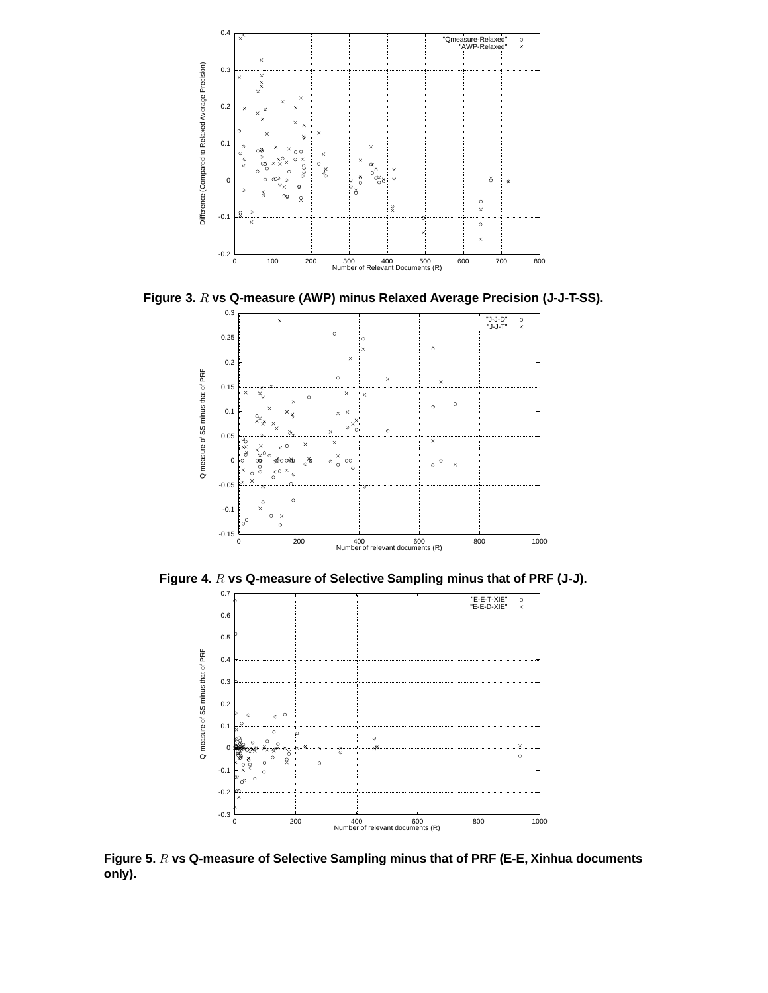

**Figure 3.** R **vs Q-measure (AWP) minus Relaxed Average Precision (J-J-T-SS).**



Figure 4. R vs Q-measure of Selective Sampling minus that of PRF (J-J).



**Figure 5.** R **vs Q-measure of Selective Sampling minus that of PRF (E-E, Xinhua documents only).**